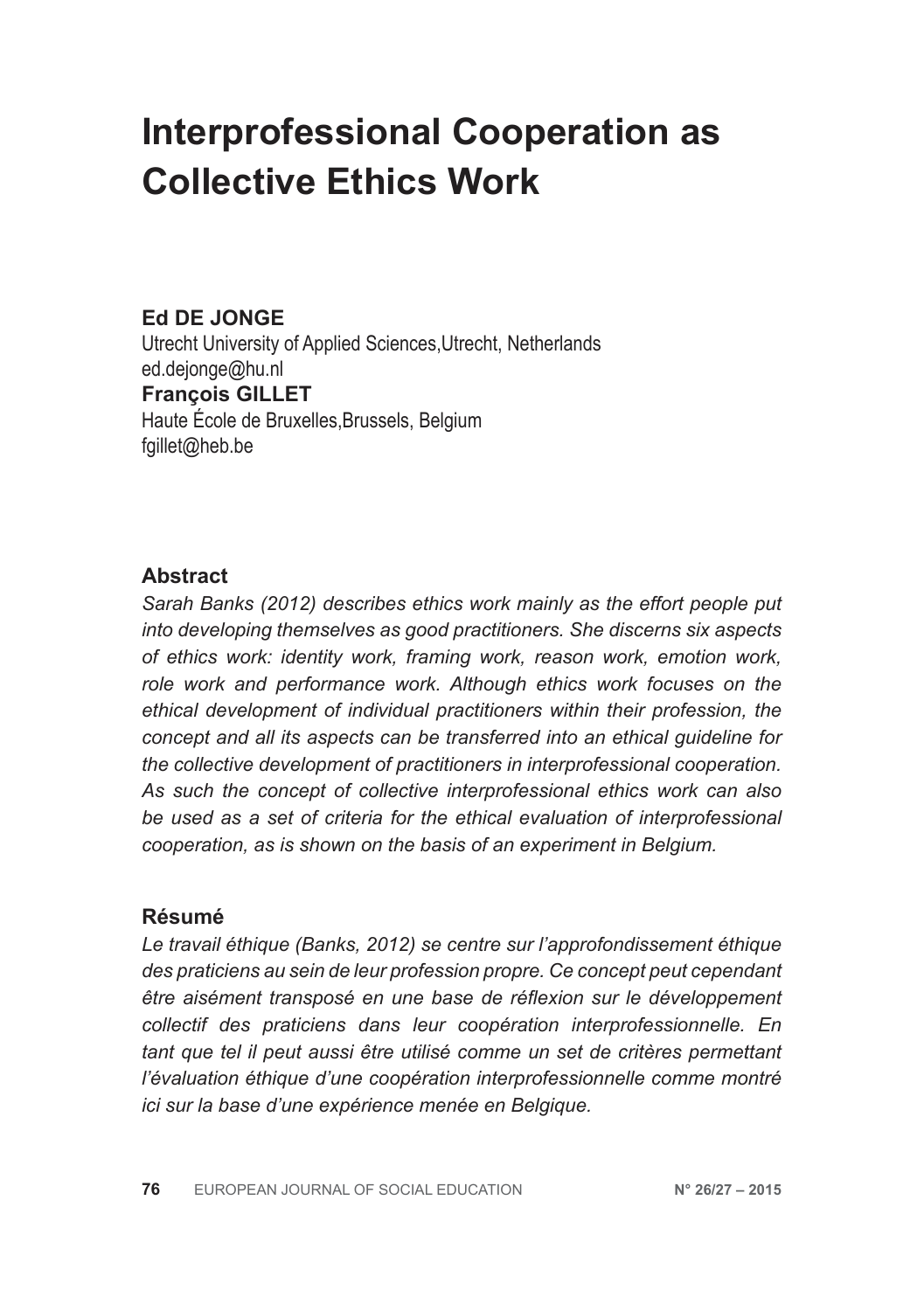# **Interprofessional Cooperation as Collective Ethics Work**

# **Ed DE JONGE**

Utrecht University of Applied Sciences,Utrecht, Netherlands ed.dejonge@hu.nl **François GILLET** Haute École de Bruxelles,Brussels, Belgium fgillet@heb.be

#### **Abstract**

*Sarah Banks (2012) describes ethics work mainly as the effort people put into developing themselves as good practitioners. She discerns six aspects of ethics work: identity work, framing work, reason work, emotion work, role work and performance work. Although ethics work focuses on the ethical development of individual practitioners within their profession, the concept and all its aspects can be transferred into an ethical guideline for the collective development of practitioners in interprofessional cooperation. As such the concept of collective interprofessional ethics work can also be used as a set of criteria for the ethical evaluation of interprofessional cooperation, as is shown on the basis of an experiment in Belgium.*

#### **Résumé**

*Le travail éthique (Banks, 2012) se centre sur l'approfondissement éthique des praticiens au sein de leur profession propre. Ce concept peut cependant être aisément transposé en une base de réflexion sur le développement collectif des praticiens dans leur coopération interprofessionnelle. En tant que tel il peut aussi être utilisé comme un set de critères permettant l'évaluation éthique d'une coopération interprofessionnelle comme montré ici sur la base d'une expérience menée en Belgique.*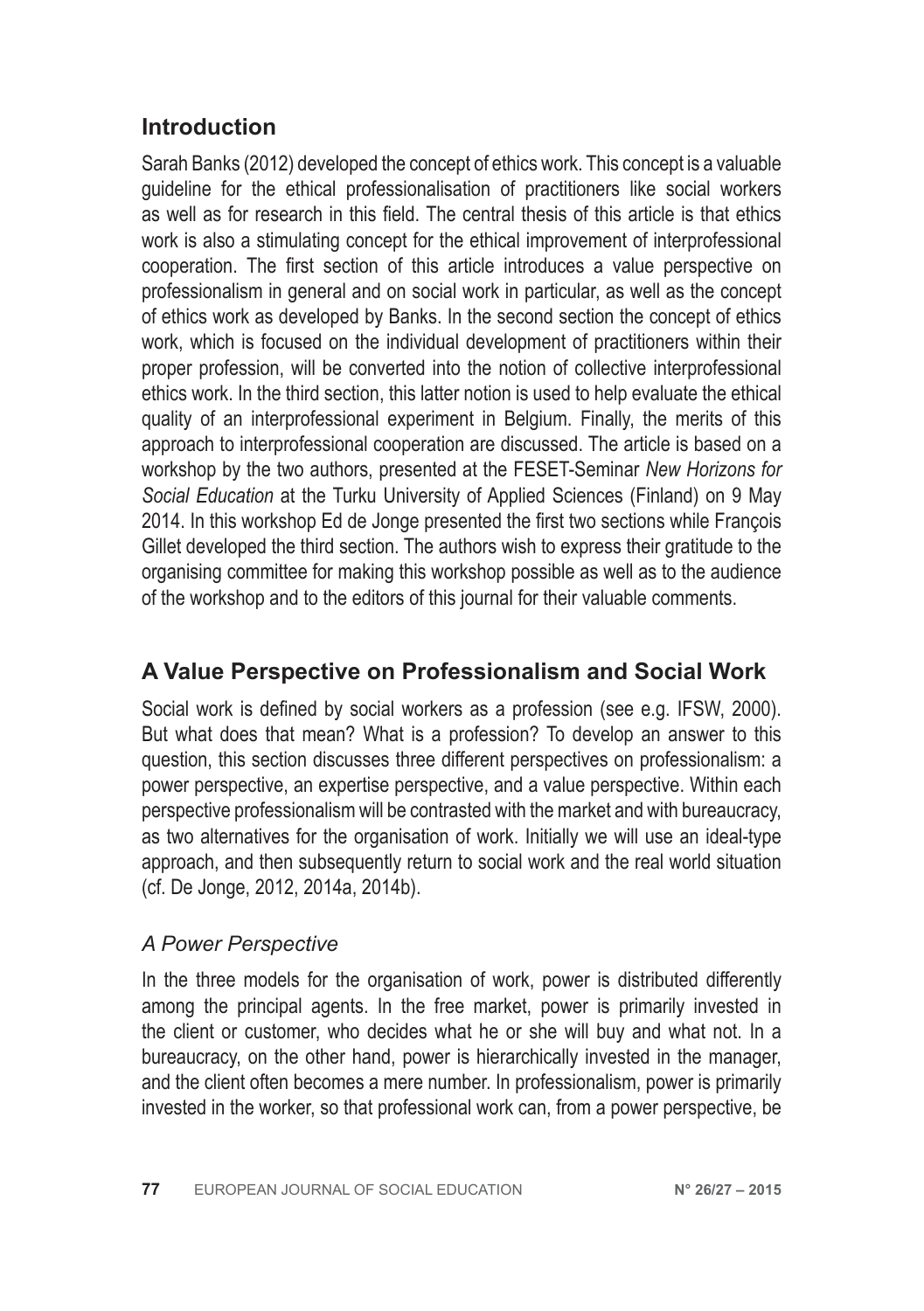# **Introduction**

Sarah Banks (2012) developed the concept of ethics work. This concept is a valuable guideline for the ethical professionalisation of practitioners like social workers as well as for research in this field. The central thesis of this article is that ethics work is also a stimulating concept for the ethical improvement of interprofessional cooperation. The first section of this article introduces a value perspective on professionalism in general and on social work in particular, as well as the concept of ethics work as developed by Banks. In the second section the concept of ethics work, which is focused on the individual development of practitioners within their proper profession, will be converted into the notion of collective interprofessional ethics work. In the third section, this latter notion is used to help evaluate the ethical quality of an interprofessional experiment in Belgium. Finally, the merits of this approach to interprofessional cooperation are discussed. The article is based on a workshop by the two authors, presented at the FESET-Seminar *New Horizons for Social Education* at the Turku University of Applied Sciences (Finland) on 9 May 2014. In this workshop Ed de Jonge presented the first two sections while François Gillet developed the third section. The authors wish to express their gratitude to the organising committee for making this workshop possible as well as to the audience of the workshop and to the editors of this journal for their valuable comments.

# **A Value Perspective on Professionalism and Social Work**

Social work is defined by social workers as a profession (see e.g. IFSW, 2000). But what does that mean? What is a profession? To develop an answer to this question, this section discusses three different perspectives on professionalism: a power perspective, an expertise perspective, and a value perspective. Within each perspective professionalism will be contrasted with the market and with bureaucracy, as two alternatives for the organisation of work. Initially we will use an ideal-type approach, and then subsequently return to social work and the real world situation (cf. De Jonge, 2012, 2014a, 2014b).

#### *A Power Perspective*

In the three models for the organisation of work, power is distributed differently among the principal agents. In the free market, power is primarily invested in the client or customer, who decides what he or she will buy and what not. In a bureaucracy, on the other hand, power is hierarchically invested in the manager, and the client often becomes a mere number. In professionalism, power is primarily invested in the worker, so that professional work can, from a power perspective, be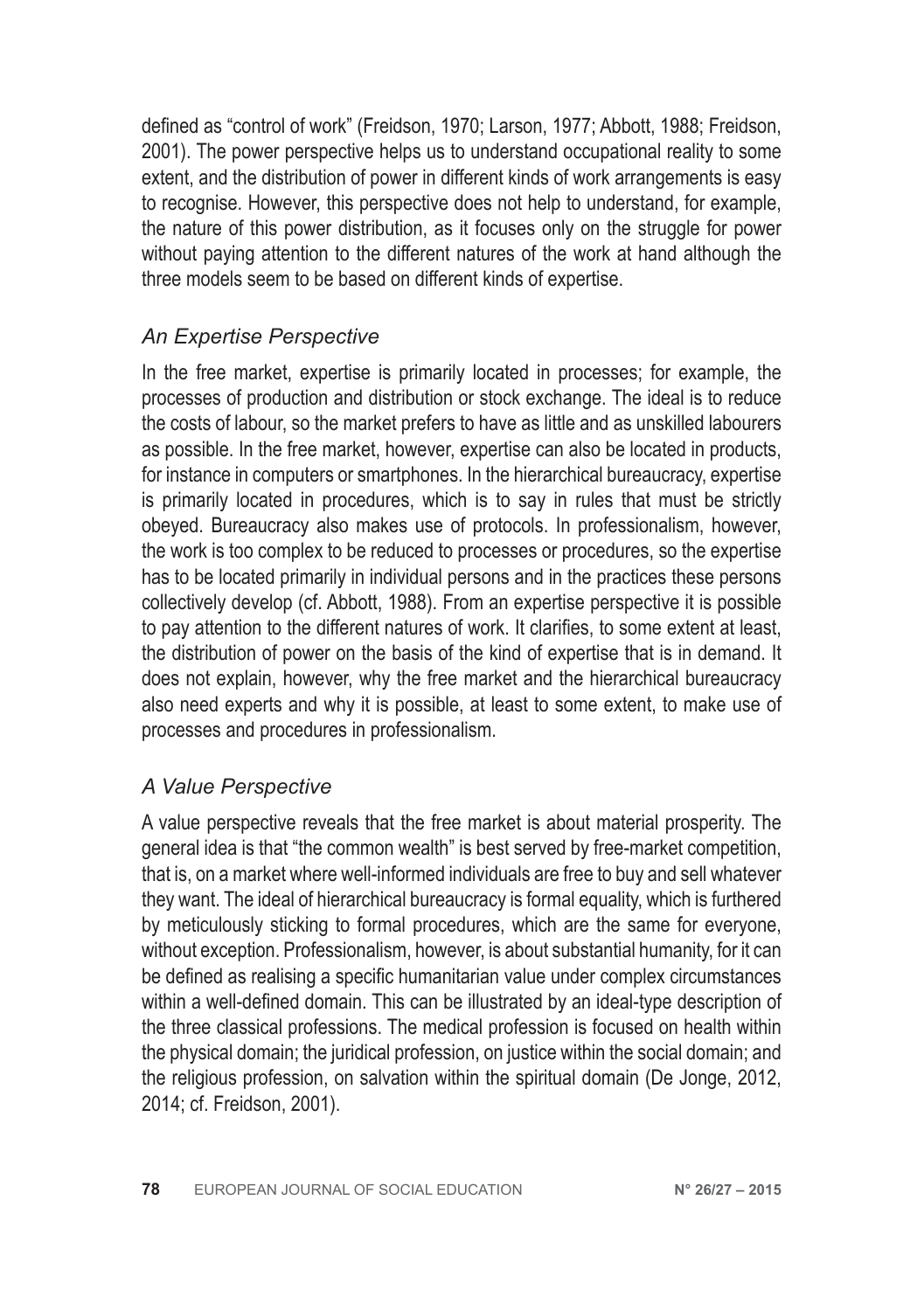defined as "control of work" (Freidson, 1970; Larson, 1977; Abbott, 1988; Freidson, 2001). The power perspective helps us to understand occupational reality to some extent, and the distribution of power in different kinds of work arrangements is easy to recognise. However, this perspective does not help to understand, for example, the nature of this power distribution, as it focuses only on the struggle for power without paying attention to the different natures of the work at hand although the three models seem to be based on different kinds of expertise.

#### *An Expertise Perspective*

In the free market, expertise is primarily located in processes; for example, the processes of production and distribution or stock exchange. The ideal is to reduce the costs of labour, so the market prefers to have as little and as unskilled labourers as possible. In the free market, however, expertise can also be located in products, for instance in computers or smartphones. In the hierarchical bureaucracy, expertise is primarily located in procedures, which is to say in rules that must be strictly obeyed. Bureaucracy also makes use of protocols. In professionalism, however, the work is too complex to be reduced to processes or procedures, so the expertise has to be located primarily in individual persons and in the practices these persons collectively develop (cf. Abbott, 1988). From an expertise perspective it is possible to pay attention to the different natures of work. It clarifies, to some extent at least, the distribution of power on the basis of the kind of expertise that is in demand. It does not explain, however, why the free market and the hierarchical bureaucracy also need experts and why it is possible, at least to some extent, to make use of processes and procedures in professionalism.

#### *A Value Perspective*

A value perspective reveals that the free market is about material prosperity. The general idea is that "the common wealth" is best served by free-market competition, that is, on a market where well-informed individuals are free to buy and sell whatever they want. The ideal of hierarchical bureaucracy is formal equality, which is furthered by meticulously sticking to formal procedures, which are the same for everyone, without exception. Professionalism, however, is about substantial humanity, for it can be defined as realising a specific humanitarian value under complex circumstances within a well-defined domain. This can be illustrated by an ideal-type description of the three classical professions. The medical profession is focused on health within the physical domain; the juridical profession, on justice within the social domain; and the religious profession, on salvation within the spiritual domain (De Jonge, 2012, 2014; cf. Freidson, 2001).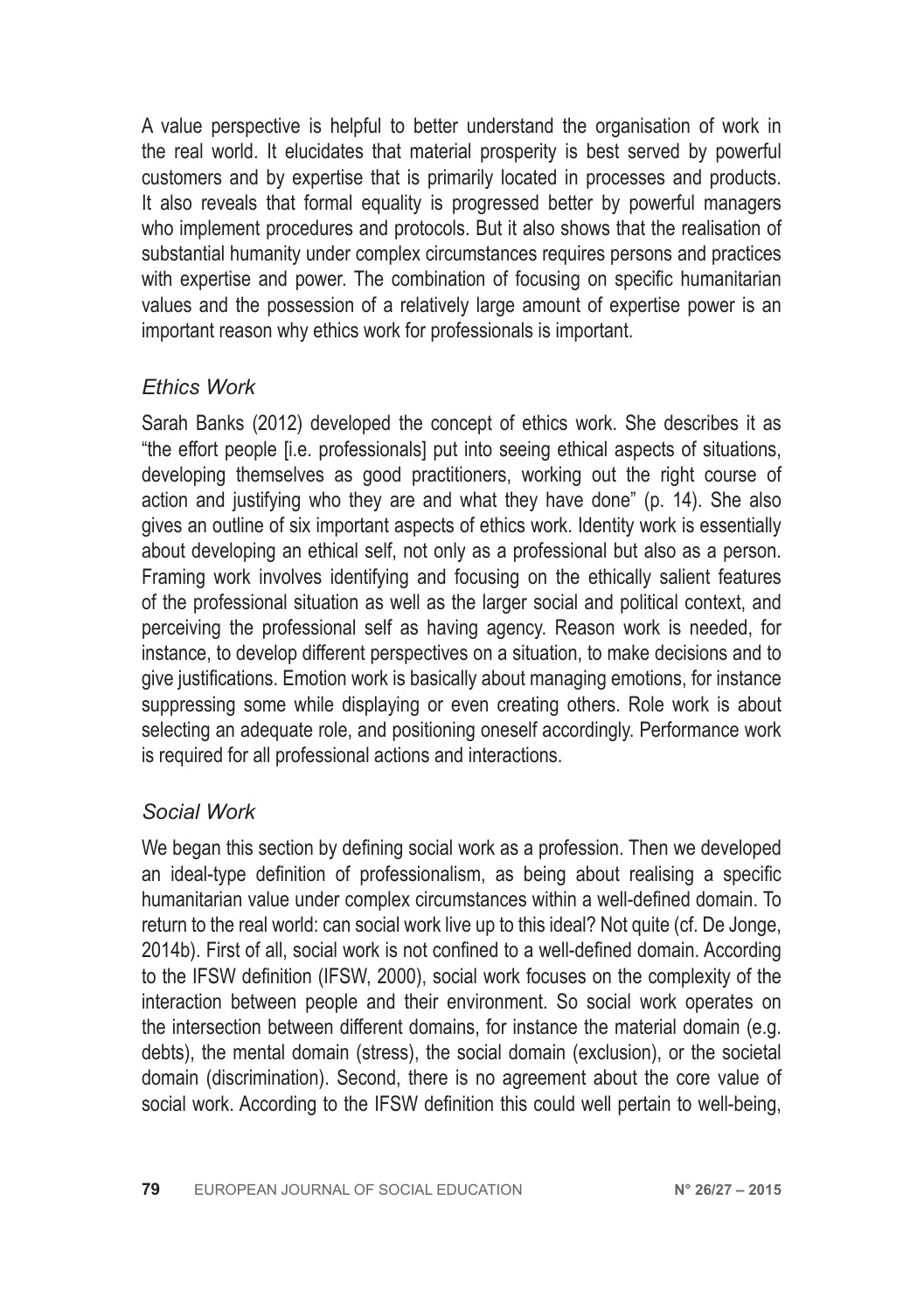A value perspective is helpful to better understand the organisation of work in the real world. It elucidates that material prosperity is best served by powerful customers and by expertise that is primarily located in processes and products. It also reveals that formal equality is progressed better by powerful managers who implement procedures and protocols. But it also shows that the realisation of substantial humanity under complex circumstances requires persons and practices with expertise and power. The combination of focusing on specific humanitarian values and the possession of a relatively large amount of expertise power is an important reason why ethics work for professionals is important.

#### *Ethics Work*

Sarah Banks (2012) developed the concept of ethics work. She describes it as "the effort people [i.e. professionals] put into seeing ethical aspects of situations, developing themselves as good practitioners, working out the right course of action and justifying who they are and what they have done" (p. 14). She also gives an outline of six important aspects of ethics work. Identity work is essentially about developing an ethical self, not only as a professional but also as a person. Framing work involves identifying and focusing on the ethically salient features of the professional situation as well as the larger social and political context, and perceiving the professional self as having agency. Reason work is needed, for instance, to develop different perspectives on a situation, to make decisions and to give justifications. Emotion work is basically about managing emotions, for instance suppressing some while displaying or even creating others. Role work is about selecting an adequate role, and positioning oneself accordingly. Performance work is required for all professional actions and interactions.

#### *Social Work*

We began this section by defining social work as a profession. Then we developed an ideal-type definition of professionalism, as being about realising a specific humanitarian value under complex circumstances within a well-defined domain. To return to the real world: can social work live up to this ideal? Not quite (cf. De Jonge, 2014b). First of all, social work is not confined to a well-defined domain. According to the IFSW definition (IFSW, 2000), social work focuses on the complexity of the interaction between people and their environment. So social work operates on the intersection between different domains, for instance the material domain (e.g. debts), the mental domain (stress), the social domain (exclusion), or the societal domain (discrimination). Second, there is no agreement about the core value of social work. According to the IFSW definition this could well pertain to well-being,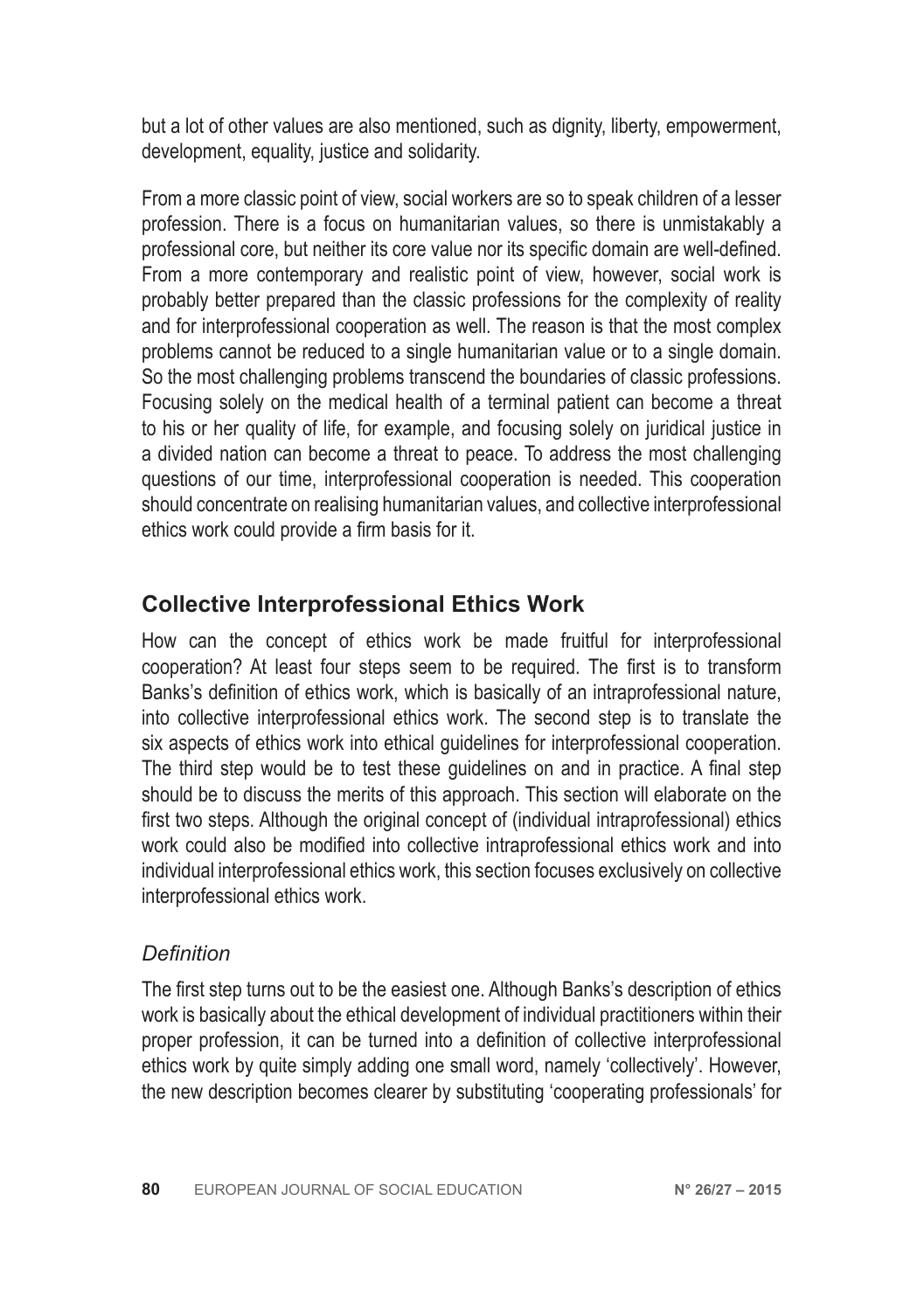but a lot of other values are also mentioned, such as dignity, liberty, empowerment, development, equality, justice and solidarity.

From a more classic point of view, social workers are so to speak children of a lesser profession. There is a focus on humanitarian values, so there is unmistakably a professional core, but neither its core value nor its specific domain are well-defined. From a more contemporary and realistic point of view, however, social work is probably better prepared than the classic professions for the complexity of reality and for interprofessional cooperation as well. The reason is that the most complex problems cannot be reduced to a single humanitarian value or to a single domain. So the most challenging problems transcend the boundaries of classic professions. Focusing solely on the medical health of a terminal patient can become a threat to his or her quality of life, for example, and focusing solely on juridical justice in a divided nation can become a threat to peace. To address the most challenging questions of our time, interprofessional cooperation is needed. This cooperation should concentrate on realising humanitarian values, and collective interprofessional ethics work could provide a firm basis for it.

# **Collective Interprofessional Ethics Work**

How can the concept of ethics work be made fruitful for interprofessional cooperation? At least four steps seem to be required. The first is to transform Banks's definition of ethics work, which is basically of an intraprofessional nature, into collective interprofessional ethics work. The second step is to translate the six aspects of ethics work into ethical guidelines for interprofessional cooperation. The third step would be to test these guidelines on and in practice. A final step should be to discuss the merits of this approach. This section will elaborate on the first two steps. Although the original concept of (individual intraprofessional) ethics work could also be modified into collective intraprofessional ethics work and into individual interprofessional ethics work, this section focuses exclusively on collective interprofessional ethics work.

#### *Definition*

The first step turns out to be the easiest one. Although Banks's description of ethics work is basically about the ethical development of individual practitioners within their proper profession, it can be turned into a definition of collective interprofessional ethics work by quite simply adding one small word, namely 'collectively'. However, the new description becomes clearer by substituting 'cooperating professionals' for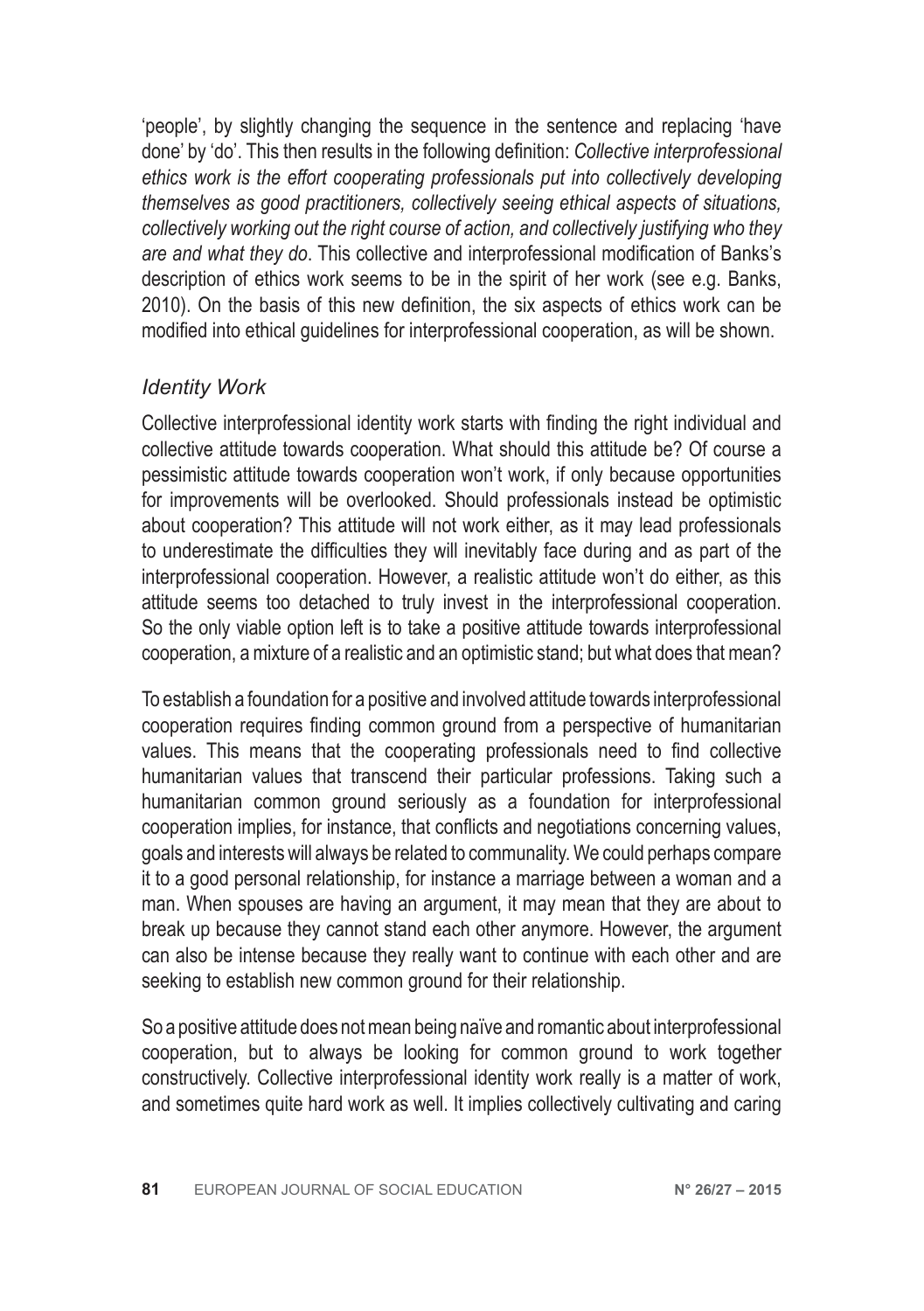'people', by slightly changing the sequence in the sentence and replacing 'have done' by 'do'. This then results in the following definition: *Collective interprofessional ethics work is the effort cooperating professionals put into collectively developing themselves as good practitioners, collectively seeing ethical aspects of situations, collectively working out the right course of action, and collectively justifying who they are and what they do*. This collective and interprofessional modification of Banks's description of ethics work seems to be in the spirit of her work (see e.g. Banks, 2010). On the basis of this new definition, the six aspects of ethics work can be modified into ethical guidelines for interprofessional cooperation, as will be shown.

#### *Identity Work*

Collective interprofessional identity work starts with finding the right individual and collective attitude towards cooperation. What should this attitude be? Of course a pessimistic attitude towards cooperation won't work, if only because opportunities for improvements will be overlooked. Should professionals instead be optimistic about cooperation? This attitude will not work either, as it may lead professionals to underestimate the difficulties they will inevitably face during and as part of the interprofessional cooperation. However, a realistic attitude won't do either, as this attitude seems too detached to truly invest in the interprofessional cooperation. So the only viable option left is to take a positive attitude towards interprofessional cooperation, a mixture of a realistic and an optimistic stand; but what does that mean?

To establish a foundation for a positive and involved attitude towards interprofessional cooperation requires finding common ground from a perspective of humanitarian values. This means that the cooperating professionals need to find collective humanitarian values that transcend their particular professions. Taking such a humanitarian common ground seriously as a foundation for interprofessional cooperation implies, for instance, that conflicts and negotiations concerning values, goals and interests will always be related to communality. We could perhaps compare it to a good personal relationship, for instance a marriage between a woman and a man. When spouses are having an argument, it may mean that they are about to break up because they cannot stand each other anymore. However, the argument can also be intense because they really want to continue with each other and are seeking to establish new common ground for their relationship.

So a positive attitude does not mean being naïve and romantic about interprofessional cooperation, but to always be looking for common ground to work together constructively. Collective interprofessional identity work really is a matter of work, and sometimes quite hard work as well. It implies collectively cultivating and caring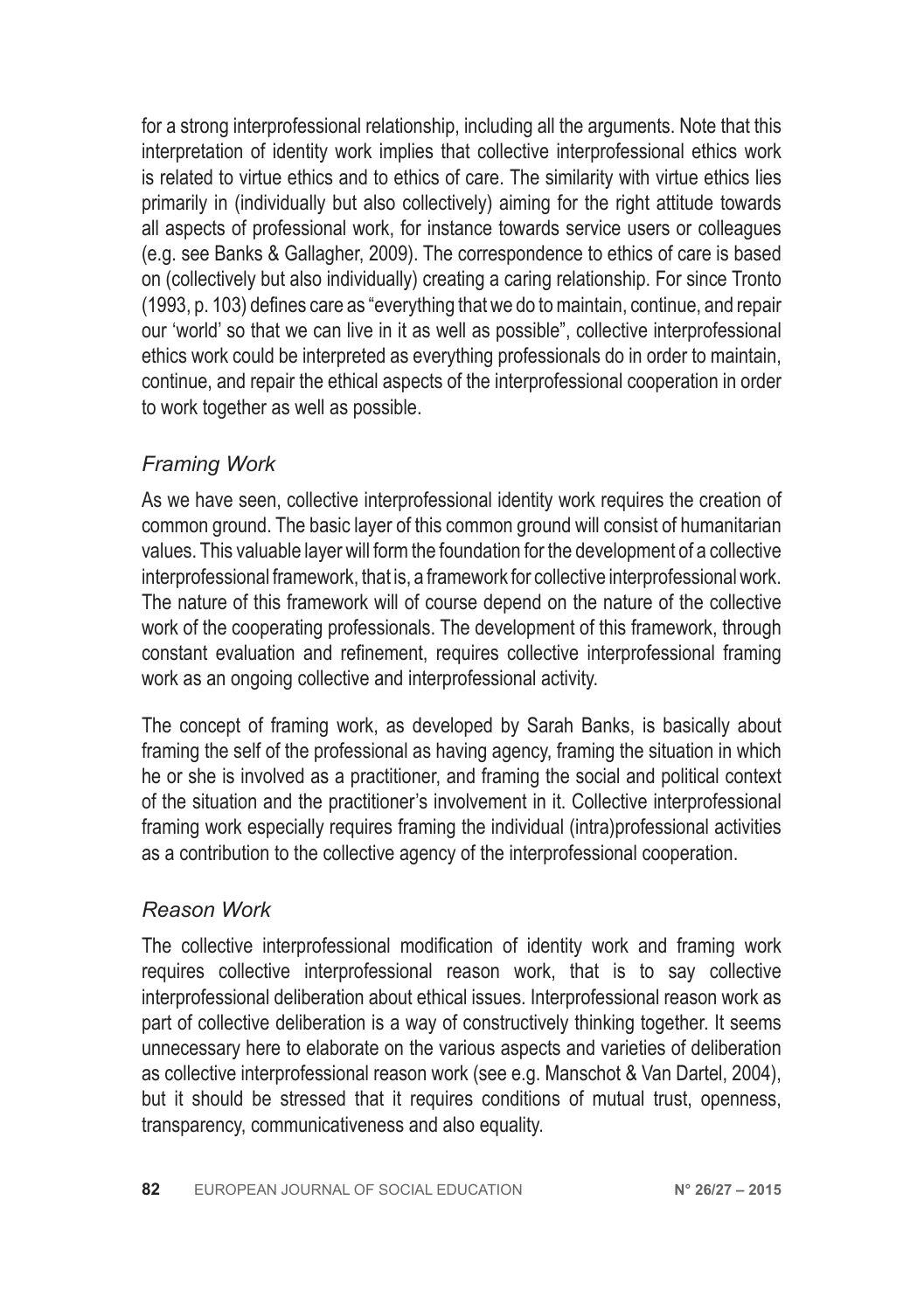for a strong interprofessional relationship, including all the arguments. Note that this interpretation of identity work implies that collective interprofessional ethics work is related to virtue ethics and to ethics of care. The similarity with virtue ethics lies primarily in (individually but also collectively) aiming for the right attitude towards all aspects of professional work, for instance towards service users or colleagues (e.g. see Banks & Gallagher, 2009). The correspondence to ethics of care is based on (collectively but also individually) creating a caring relationship. For since Tronto (1993, p. 103) defines care as "everything that we do to maintain, continue, and repair our 'world' so that we can live in it as well as possible", collective interprofessional ethics work could be interpreted as everything professionals do in order to maintain, continue, and repair the ethical aspects of the interprofessional cooperation in order to work together as well as possible.

# *Framing Work*

As we have seen, collective interprofessional identity work requires the creation of common ground. The basic layer of this common ground will consist of humanitarian values. This valuable layer will form the foundation for the development of a collective interprofessional framework, that is, a framework for collective interprofessional work. The nature of this framework will of course depend on the nature of the collective work of the cooperating professionals. The development of this framework, through constant evaluation and refinement, requires collective interprofessional framing work as an ongoing collective and interprofessional activity.

The concept of framing work, as developed by Sarah Banks, is basically about framing the self of the professional as having agency, framing the situation in which he or she is involved as a practitioner, and framing the social and political context of the situation and the practitioner's involvement in it. Collective interprofessional framing work especially requires framing the individual (intra)professional activities as a contribution to the collective agency of the interprofessional cooperation.

# *Reason Work*

The collective interprofessional modification of identity work and framing work requires collective interprofessional reason work, that is to say collective interprofessional deliberation about ethical issues. Interprofessional reason work as part of collective deliberation is a way of constructively thinking together. It seems unnecessary here to elaborate on the various aspects and varieties of deliberation as collective interprofessional reason work (see e.g. Manschot & Van Dartel, 2004), but it should be stressed that it requires conditions of mutual trust, openness, transparency, communicativeness and also equality.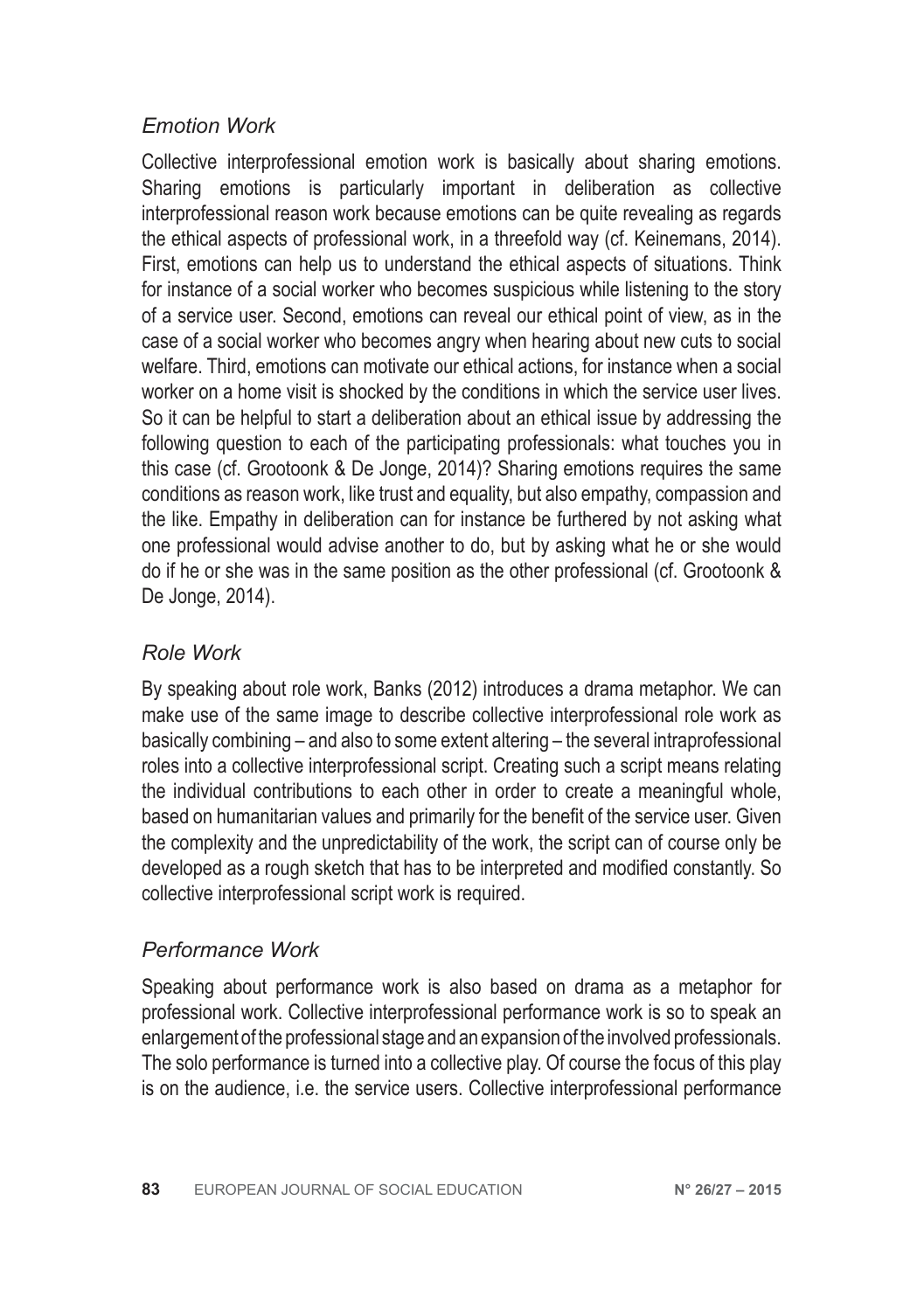#### *Emotion Work*

Collective interprofessional emotion work is basically about sharing emotions. Sharing emotions is particularly important in deliberation as collective interprofessional reason work because emotions can be quite revealing as regards the ethical aspects of professional work, in a threefold way (cf. Keinemans, 2014). First, emotions can help us to understand the ethical aspects of situations. Think for instance of a social worker who becomes suspicious while listening to the story of a service user. Second, emotions can reveal our ethical point of view, as in the case of a social worker who becomes angry when hearing about new cuts to social welfare. Third, emotions can motivate our ethical actions, for instance when a social worker on a home visit is shocked by the conditions in which the service user lives. So it can be helpful to start a deliberation about an ethical issue by addressing the following question to each of the participating professionals: what touches you in this case (cf. Grootoonk & De Jonge, 2014)? Sharing emotions requires the same conditions as reason work, like trust and equality, but also empathy, compassion and the like. Empathy in deliberation can for instance be furthered by not asking what one professional would advise another to do, but by asking what he or she would do if he or she was in the same position as the other professional (cf. Grootoonk & De Jonge, 2014).

#### *Role Work*

By speaking about role work, Banks (2012) introduces a drama metaphor. We can make use of the same image to describe collective interprofessional role work as basically combining – and also to some extent altering – the several intraprofessional roles into a collective interprofessional script. Creating such a script means relating the individual contributions to each other in order to create a meaningful whole, based on humanitarian values and primarily for the benefit of the service user. Given the complexity and the unpredictability of the work, the script can of course only be developed as a rough sketch that has to be interpreted and modified constantly. So collective interprofessional script work is required.

#### *Performance Work*

Speaking about performance work is also based on drama as a metaphor for professional work. Collective interprofessional performance work is so to speak an enlargement of the professional stage and an expansion of the involved professionals. The solo performance is turned into a collective play. Of course the focus of this play is on the audience, i.e. the service users. Collective interprofessional performance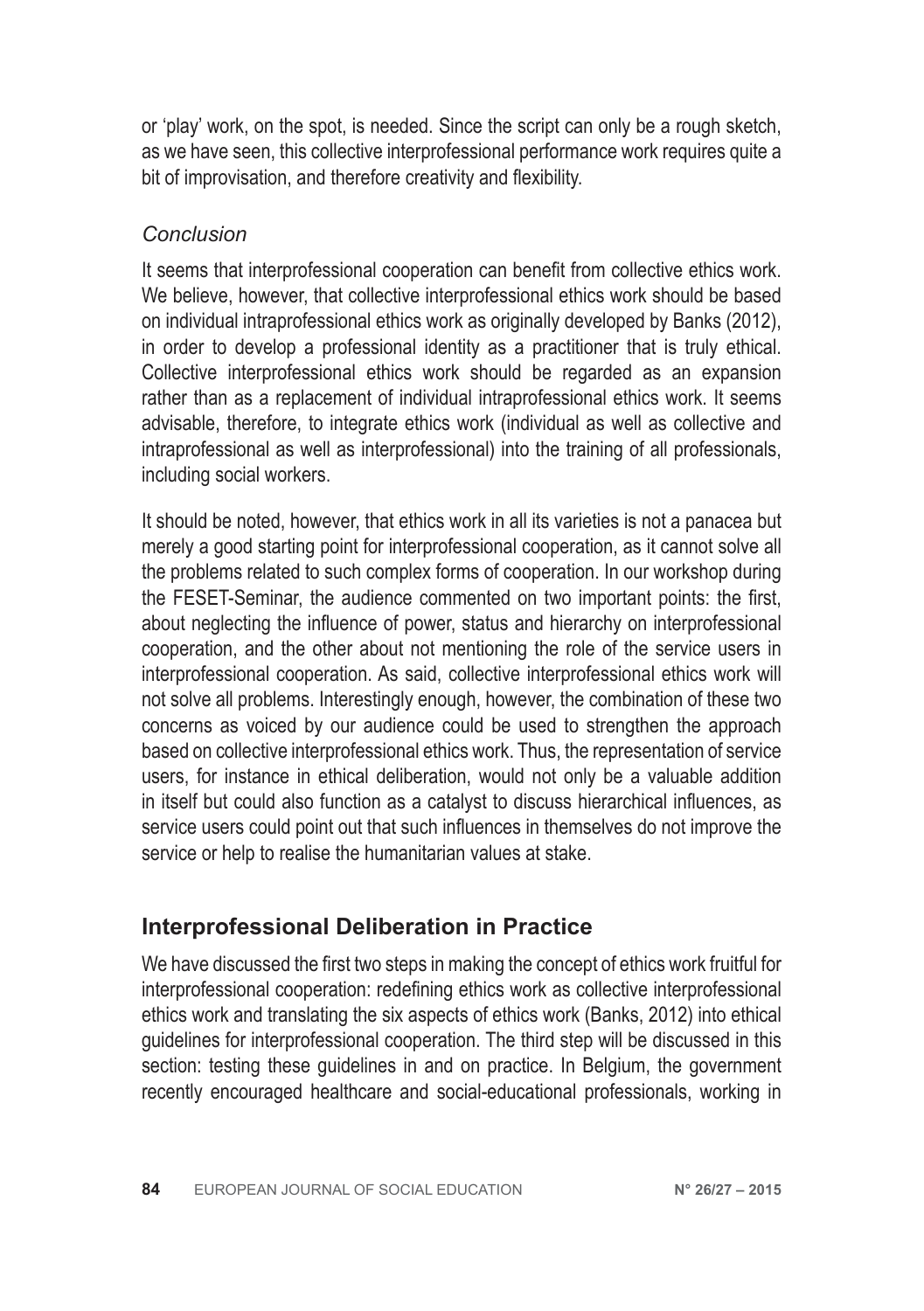or 'play' work, on the spot, is needed. Since the script can only be a rough sketch, as we have seen, this collective interprofessional performance work requires quite a bit of improvisation, and therefore creativity and flexibility.

#### *Conclusion*

It seems that interprofessional cooperation can benefit from collective ethics work. We believe, however, that collective interprofessional ethics work should be based on individual intraprofessional ethics work as originally developed by Banks (2012), in order to develop a professional identity as a practitioner that is truly ethical. Collective interprofessional ethics work should be regarded as an expansion rather than as a replacement of individual intraprofessional ethics work. It seems advisable, therefore, to integrate ethics work (individual as well as collective and intraprofessional as well as interprofessional) into the training of all professionals, including social workers.

It should be noted, however, that ethics work in all its varieties is not a panacea but merely a good starting point for interprofessional cooperation, as it cannot solve all the problems related to such complex forms of cooperation. In our workshop during the FESET-Seminar, the audience commented on two important points: the first, about neglecting the influence of power, status and hierarchy on interprofessional cooperation, and the other about not mentioning the role of the service users in interprofessional cooperation. As said, collective interprofessional ethics work will not solve all problems. Interestingly enough, however, the combination of these two concerns as voiced by our audience could be used to strengthen the approach based on collective interprofessional ethics work. Thus, the representation of service users, for instance in ethical deliberation, would not only be a valuable addition in itself but could also function as a catalyst to discuss hierarchical influences, as service users could point out that such influences in themselves do not improve the service or help to realise the humanitarian values at stake.

# **Interprofessional Deliberation in Practice**

We have discussed the first two steps in making the concept of ethics work fruitful for interprofessional cooperation: redefining ethics work as collective interprofessional ethics work and translating the six aspects of ethics work (Banks, 2012) into ethical guidelines for interprofessional cooperation. The third step will be discussed in this section: testing these guidelines in and on practice. In Belgium, the government recently encouraged healthcare and social-educational professionals, working in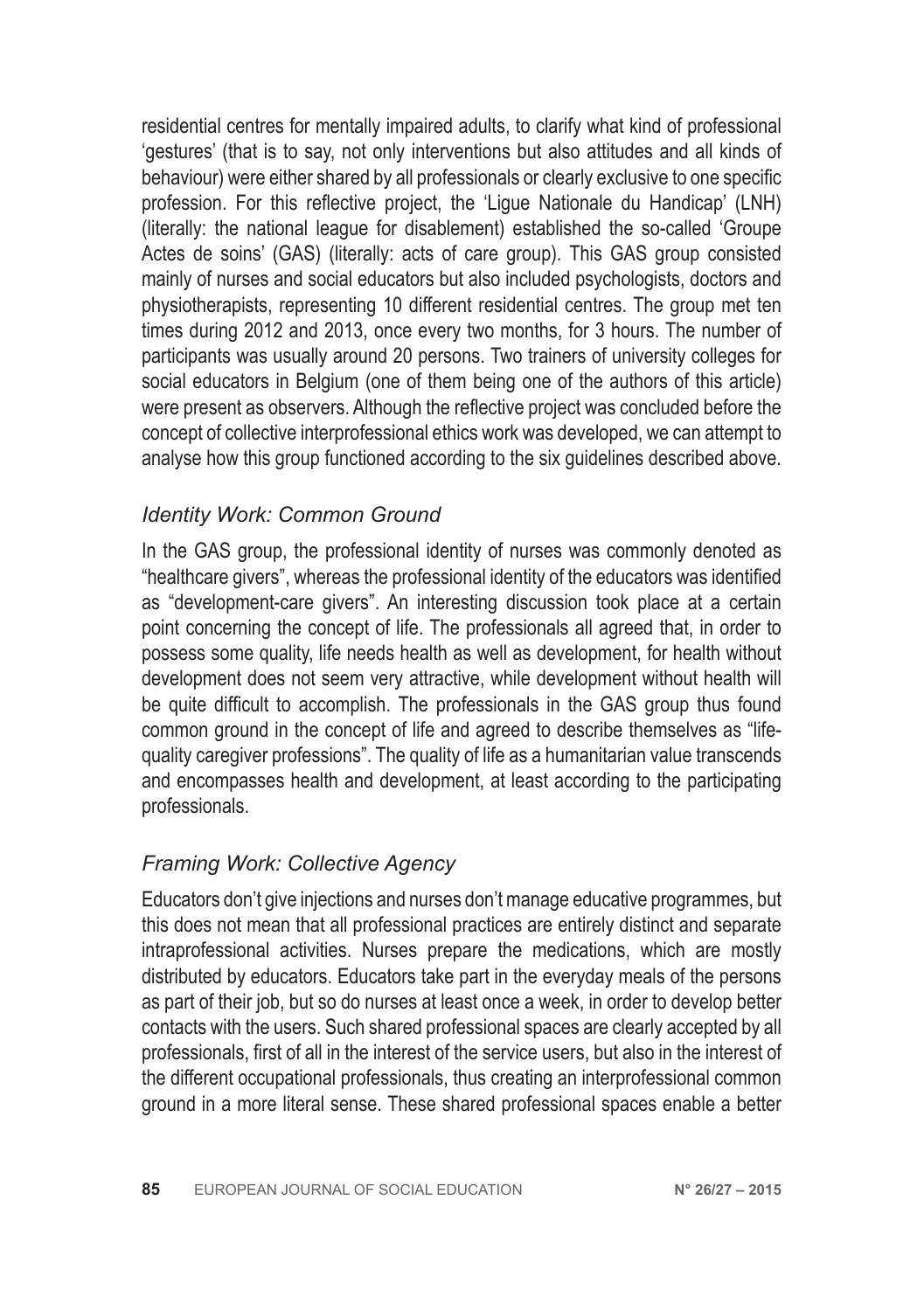residential centres for mentally impaired adults, to clarify what kind of professional 'gestures' (that is to say, not only interventions but also attitudes and all kinds of behaviour) were either shared by all professionals or clearly exclusive to one specific profession. For this reflective project, the 'Ligue Nationale du Handicap' (LNH) (literally: the national league for disablement) established the so-called 'Groupe Actes de soins' (GAS) (literally: acts of care group). This GAS group consisted mainly of nurses and social educators but also included psychologists, doctors and physiotherapists, representing 10 different residential centres. The group met ten times during 2012 and 2013, once every two months, for 3 hours. The number of participants was usually around 20 persons. Two trainers of university colleges for social educators in Belgium (one of them being one of the authors of this article) were present as observers. Although the reflective project was concluded before the concept of collective interprofessional ethics work was developed, we can attempt to analyse how this group functioned according to the six guidelines described above.

#### *Identity Work: Common Ground*

In the GAS group, the professional identity of nurses was commonly denoted as "healthcare givers", whereas the professional identity of the educators was identified as "development-care givers". An interesting discussion took place at a certain point concerning the concept of life. The professionals all agreed that, in order to possess some quality, life needs health as well as development, for health without development does not seem very attractive, while development without health will be quite difficult to accomplish. The professionals in the GAS group thus found common ground in the concept of life and agreed to describe themselves as "lifequality caregiver professions". The quality of life as a humanitarian value transcends and encompasses health and development, at least according to the participating professionals.

# *Framing Work: Collective Agency*

Educators don't give injections and nurses don't manage educative programmes, but this does not mean that all professional practices are entirely distinct and separate intraprofessional activities. Nurses prepare the medications, which are mostly distributed by educators. Educators take part in the everyday meals of the persons as part of their job, but so do nurses at least once a week, in order to develop better contacts with the users. Such shared professional spaces are clearly accepted by all professionals, first of all in the interest of the service users, but also in the interest of the different occupational professionals, thus creating an interprofessional common ground in a more literal sense. These shared professional spaces enable a better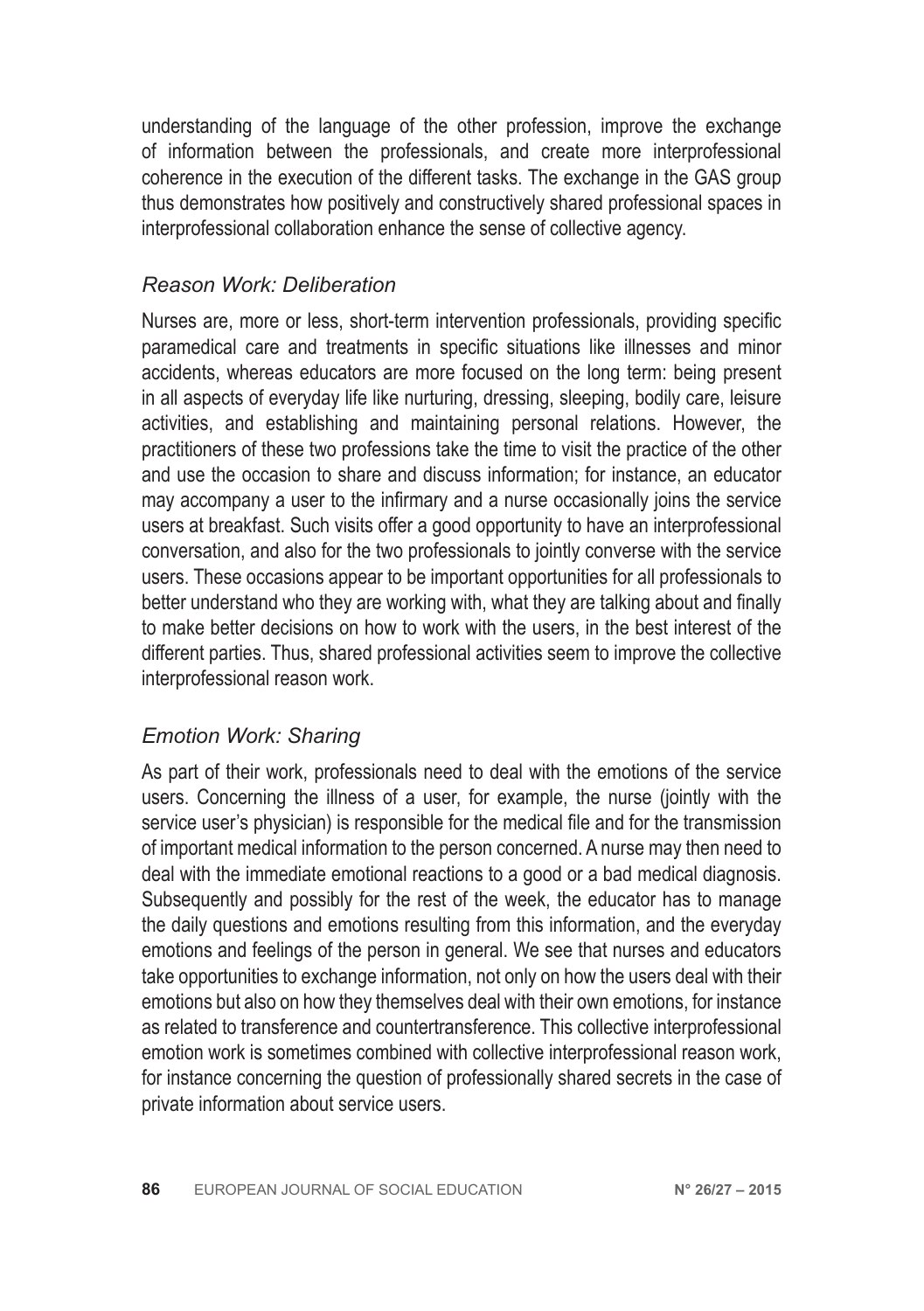understanding of the language of the other profession, improve the exchange of information between the professionals, and create more interprofessional coherence in the execution of the different tasks. The exchange in the GAS group thus demonstrates how positively and constructively shared professional spaces in interprofessional collaboration enhance the sense of collective agency.

#### *Reason Work: Deliberation*

Nurses are, more or less, short-term intervention professionals, providing specific paramedical care and treatments in specific situations like illnesses and minor accidents, whereas educators are more focused on the long term: being present in all aspects of everyday life like nurturing, dressing, sleeping, bodily care, leisure activities, and establishing and maintaining personal relations. However, the practitioners of these two professions take the time to visit the practice of the other and use the occasion to share and discuss information; for instance, an educator may accompany a user to the infirmary and a nurse occasionally joins the service users at breakfast. Such visits offer a good opportunity to have an interprofessional conversation, and also for the two professionals to jointly converse with the service users. These occasions appear to be important opportunities for all professionals to better understand who they are working with, what they are talking about and finally to make better decisions on how to work with the users, in the best interest of the different parties. Thus, shared professional activities seem to improve the collective interprofessional reason work.

#### *Emotion Work: Sharing*

As part of their work, professionals need to deal with the emotions of the service users. Concerning the illness of a user, for example, the nurse (jointly with the service user's physician) is responsible for the medical file and for the transmission of important medical information to the person concerned. A nurse may then need to deal with the immediate emotional reactions to a good or a bad medical diagnosis. Subsequently and possibly for the rest of the week, the educator has to manage the daily questions and emotions resulting from this information, and the everyday emotions and feelings of the person in general. We see that nurses and educators take opportunities to exchange information, not only on how the users deal with their emotions but also on how they themselves deal with their own emotions, for instance as related to transference and countertransference. This collective interprofessional emotion work is sometimes combined with collective interprofessional reason work, for instance concerning the question of professionally shared secrets in the case of private information about service users.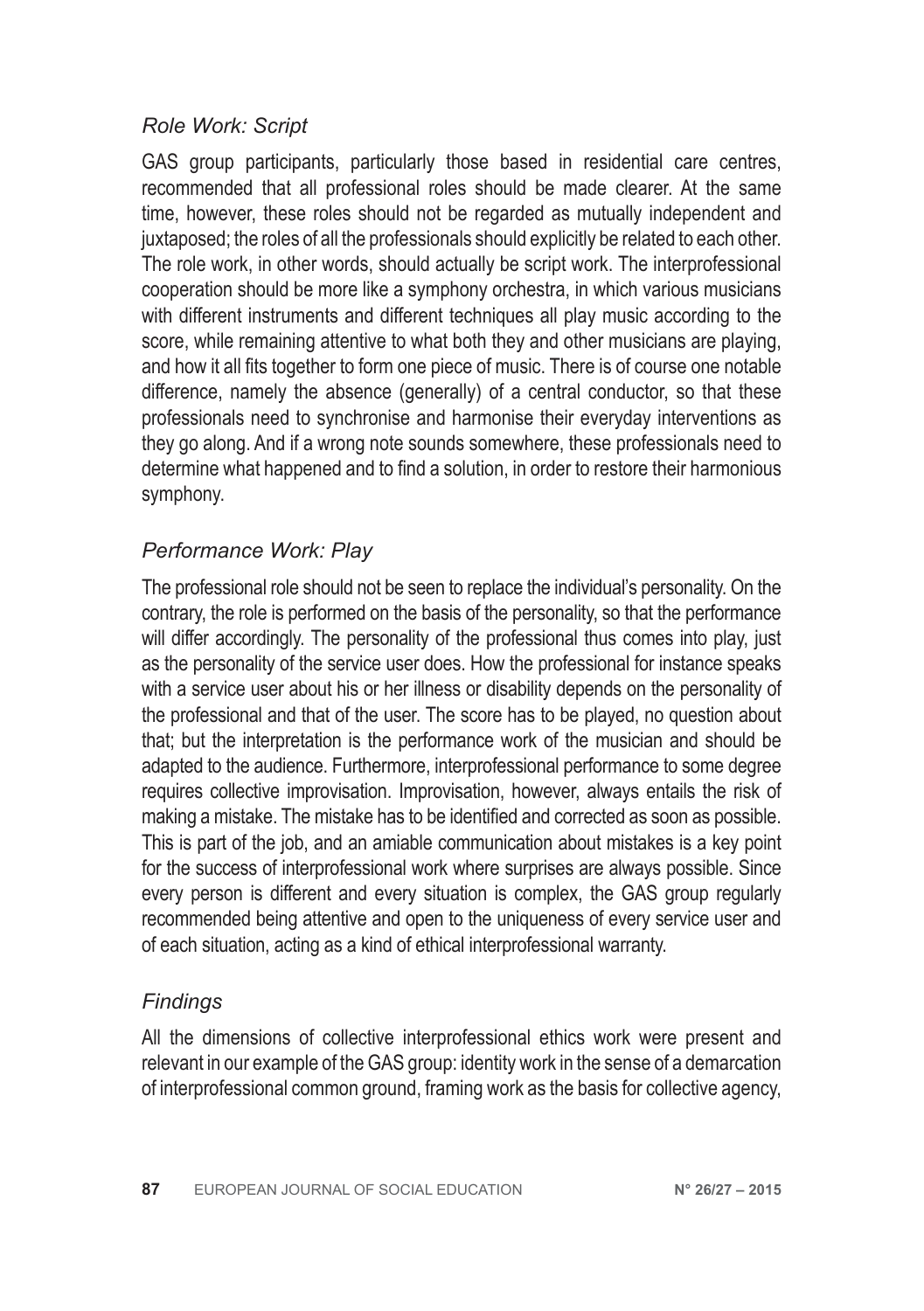#### *Role Work: Script*

GAS group participants, particularly those based in residential care centres, recommended that all professional roles should be made clearer. At the same time, however, these roles should not be regarded as mutually independent and juxtaposed; the roles of all the professionals should explicitly be related to each other. The role work, in other words, should actually be script work. The interprofessional cooperation should be more like a symphony orchestra, in which various musicians with different instruments and different techniques all play music according to the score, while remaining attentive to what both they and other musicians are playing, and how it all fits together to form one piece of music. There is of course one notable difference, namely the absence (generally) of a central conductor, so that these professionals need to synchronise and harmonise their everyday interventions as they go along. And if a wrong note sounds somewhere, these professionals need to determine what happened and to find a solution, in order to restore their harmonious symphony.

#### *Performance Work: Play*

The professional role should not be seen to replace the individual's personality. On the contrary, the role is performed on the basis of the personality, so that the performance will differ accordingly. The personality of the professional thus comes into play, just as the personality of the service user does. How the professional for instance speaks with a service user about his or her illness or disability depends on the personality of the professional and that of the user. The score has to be played, no question about that; but the interpretation is the performance work of the musician and should be adapted to the audience. Furthermore, interprofessional performance to some degree requires collective improvisation. Improvisation, however, always entails the risk of making a mistake. The mistake has to be identified and corrected as soon as possible. This is part of the job, and an amiable communication about mistakes is a key point for the success of interprofessional work where surprises are always possible. Since every person is different and every situation is complex, the GAS group regularly recommended being attentive and open to the uniqueness of every service user and of each situation, acting as a kind of ethical interprofessional warranty.

#### *Findings*

All the dimensions of collective interprofessional ethics work were present and relevant in our example of the GAS group: identity work in the sense of a demarcation of interprofessional common ground, framing work as the basis for collective agency,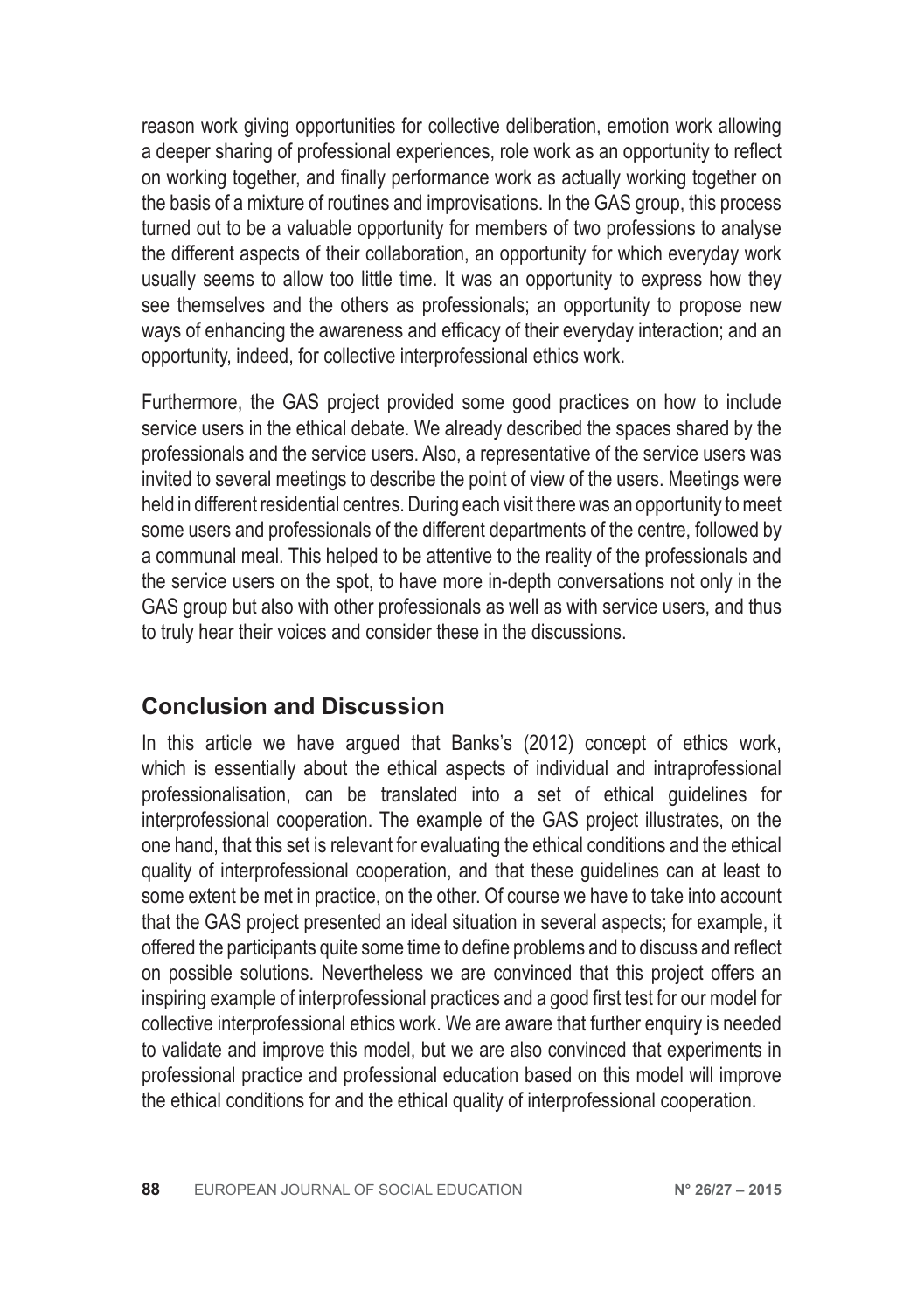reason work giving opportunities for collective deliberation, emotion work allowing a deeper sharing of professional experiences, role work as an opportunity to reflect on working together, and finally performance work as actually working together on the basis of a mixture of routines and improvisations. In the GAS group, this process turned out to be a valuable opportunity for members of two professions to analyse the different aspects of their collaboration, an opportunity for which everyday work usually seems to allow too little time. It was an opportunity to express how they see themselves and the others as professionals; an opportunity to propose new ways of enhancing the awareness and efficacy of their everyday interaction; and an opportunity, indeed, for collective interprofessional ethics work.

Furthermore, the GAS project provided some good practices on how to include service users in the ethical debate. We already described the spaces shared by the professionals and the service users. Also, a representative of the service users was invited to several meetings to describe the point of view of the users. Meetings were held in different residential centres. During each visit there was an opportunity to meet some users and professionals of the different departments of the centre, followed by a communal meal. This helped to be attentive to the reality of the professionals and the service users on the spot, to have more in-depth conversations not only in the GAS group but also with other professionals as well as with service users, and thus to truly hear their voices and consider these in the discussions.

# **Conclusion and Discussion**

In this article we have argued that Banks's (2012) concept of ethics work, which is essentially about the ethical aspects of individual and intraprofessional professionalisation, can be translated into a set of ethical guidelines for interprofessional cooperation. The example of the GAS project illustrates, on the one hand, that this set is relevant for evaluating the ethical conditions and the ethical quality of interprofessional cooperation, and that these guidelines can at least to some extent be met in practice, on the other. Of course we have to take into account that the GAS project presented an ideal situation in several aspects; for example, it offered the participants quite some time to define problems and to discuss and reflect on possible solutions. Nevertheless we are convinced that this project offers an inspiring example of interprofessional practices and a good first test for our model for collective interprofessional ethics work. We are aware that further enquiry is needed to validate and improve this model, but we are also convinced that experiments in professional practice and professional education based on this model will improve the ethical conditions for and the ethical quality of interprofessional cooperation.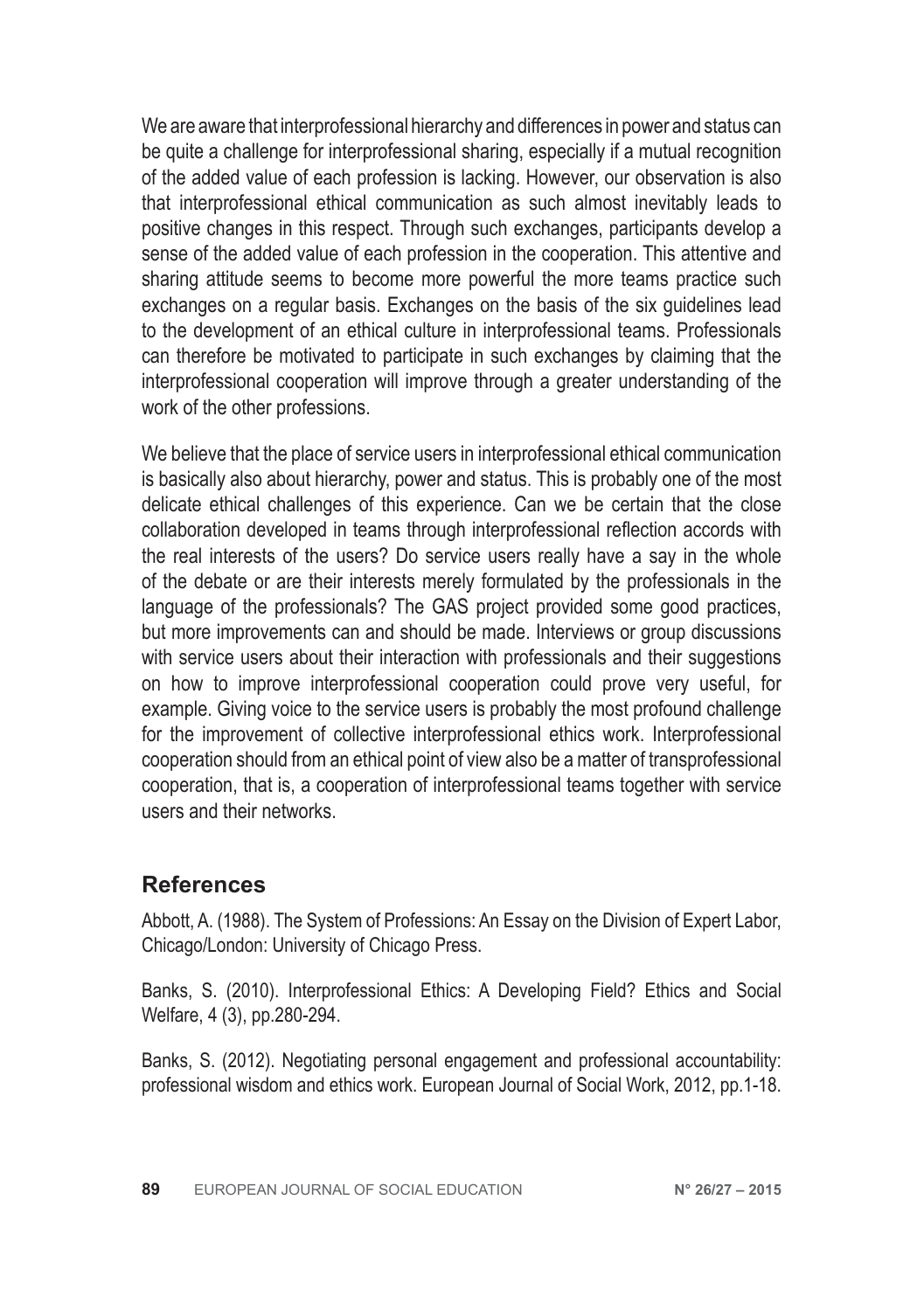We are aware that interprofessional hierarchy and differences in power and status can be quite a challenge for interprofessional sharing, especially if a mutual recognition of the added value of each profession is lacking. However, our observation is also that interprofessional ethical communication as such almost inevitably leads to positive changes in this respect. Through such exchanges, participants develop a sense of the added value of each profession in the cooperation. This attentive and sharing attitude seems to become more powerful the more teams practice such exchanges on a regular basis. Exchanges on the basis of the six guidelines lead to the development of an ethical culture in interprofessional teams. Professionals can therefore be motivated to participate in such exchanges by claiming that the interprofessional cooperation will improve through a greater understanding of the work of the other professions.

We believe that the place of service users in interprofessional ethical communication is basically also about hierarchy, power and status. This is probably one of the most delicate ethical challenges of this experience. Can we be certain that the close collaboration developed in teams through interprofessional reflection accords with the real interests of the users? Do service users really have a say in the whole of the debate or are their interests merely formulated by the professionals in the language of the professionals? The GAS project provided some good practices, but more improvements can and should be made. Interviews or group discussions with service users about their interaction with professionals and their suggestions on how to improve interprofessional cooperation could prove very useful, for example. Giving voice to the service users is probably the most profound challenge for the improvement of collective interprofessional ethics work. Interprofessional cooperation should from an ethical point of view also be a matter of transprofessional cooperation, that is, a cooperation of interprofessional teams together with service users and their networks.

# **References**

Abbott, A. (1988). The System of Professions: An Essay on the Division of Expert Labor, Chicago/London: University of Chicago Press.

Banks, S. (2010). Interprofessional Ethics: A Developing Field? Ethics and Social Welfare, 4 (3), pp.280-294.

Banks, S. (2012). Negotiating personal engagement and professional accountability: professional wisdom and ethics work. European Journal of Social Work, 2012, pp.1-18.